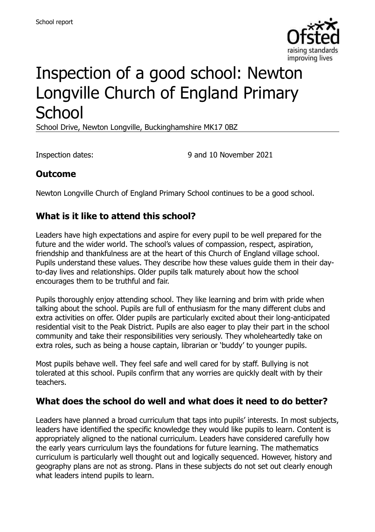

# Inspection of a good school: Newton Longville Church of England Primary **School**

School Drive, Newton Longville, Buckinghamshire MK17 0BZ

Inspection dates: 9 and 10 November 2021

# **Outcome**

Newton Longville Church of England Primary School continues to be a good school.

# **What is it like to attend this school?**

Leaders have high expectations and aspire for every pupil to be well prepared for the future and the wider world. The school's values of compassion, respect, aspiration, friendship and thankfulness are at the heart of this Church of England village school. Pupils understand these values. They describe how these values guide them in their dayto-day lives and relationships. Older pupils talk maturely about how the school encourages them to be truthful and fair.

Pupils thoroughly enjoy attending school. They like learning and brim with pride when talking about the school. Pupils are full of enthusiasm for the many different clubs and extra activities on offer. Older pupils are particularly excited about their long-anticipated residential visit to the Peak District. Pupils are also eager to play their part in the school community and take their responsibilities very seriously. They wholeheartedly take on extra roles, such as being a house captain, librarian or 'buddy' to younger pupils.

Most pupils behave well. They feel safe and well cared for by staff. Bullying is not tolerated at this school. Pupils confirm that any worries are quickly dealt with by their teachers.

#### **What does the school do well and what does it need to do better?**

Leaders have planned a broad curriculum that taps into pupils' interests. In most subjects, leaders have identified the specific knowledge they would like pupils to learn. Content is appropriately aligned to the national curriculum. Leaders have considered carefully how the early years curriculum lays the foundations for future learning. The mathematics curriculum is particularly well thought out and logically sequenced. However, history and geography plans are not as strong. Plans in these subjects do not set out clearly enough what leaders intend pupils to learn.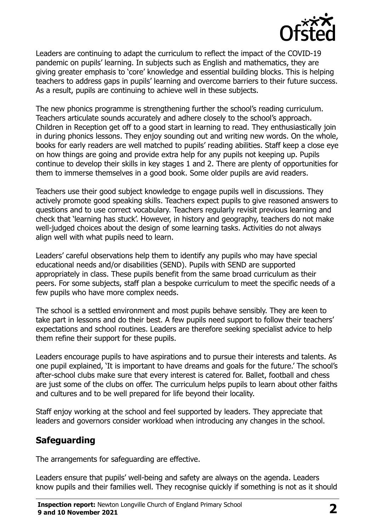

Leaders are continuing to adapt the curriculum to reflect the impact of the COVID-19 pandemic on pupils' learning. In subjects such as English and mathematics, they are giving greater emphasis to 'core' knowledge and essential building blocks. This is helping teachers to address gaps in pupils' learning and overcome barriers to their future success. As a result, pupils are continuing to achieve well in these subjects.

The new phonics programme is strengthening further the school's reading curriculum. Teachers articulate sounds accurately and adhere closely to the school's approach. Children in Reception get off to a good start in learning to read. They enthusiastically join in during phonics lessons. They enjoy sounding out and writing new words. On the whole, books for early readers are well matched to pupils' reading abilities. Staff keep a close eye on how things are going and provide extra help for any pupils not keeping up. Pupils continue to develop their skills in key stages 1 and 2. There are plenty of opportunities for them to immerse themselves in a good book. Some older pupils are avid readers.

Teachers use their good subject knowledge to engage pupils well in discussions. They actively promote good speaking skills. Teachers expect pupils to give reasoned answers to questions and to use correct vocabulary. Teachers regularly revisit previous learning and check that 'learning has stuck'. However, in history and geography, teachers do not make well-judged choices about the design of some learning tasks. Activities do not always align well with what pupils need to learn.

Leaders' careful observations help them to identify any pupils who may have special educational needs and/or disabilities (SEND). Pupils with SEND are supported appropriately in class. These pupils benefit from the same broad curriculum as their peers. For some subjects, staff plan a bespoke curriculum to meet the specific needs of a few pupils who have more complex needs.

The school is a settled environment and most pupils behave sensibly. They are keen to take part in lessons and do their best. A few pupils need support to follow their teachers' expectations and school routines. Leaders are therefore seeking specialist advice to help them refine their support for these pupils.

Leaders encourage pupils to have aspirations and to pursue their interests and talents. As one pupil explained, 'It is important to have dreams and goals for the future.' The school's after-school clubs make sure that every interest is catered for. Ballet, football and chess are just some of the clubs on offer. The curriculum helps pupils to learn about other faiths and cultures and to be well prepared for life beyond their locality.

Staff enjoy working at the school and feel supported by leaders. They appreciate that leaders and governors consider workload when introducing any changes in the school.

# **Safeguarding**

The arrangements for safeguarding are effective.

Leaders ensure that pupils' well-being and safety are always on the agenda. Leaders know pupils and their families well. They recognise quickly if something is not as it should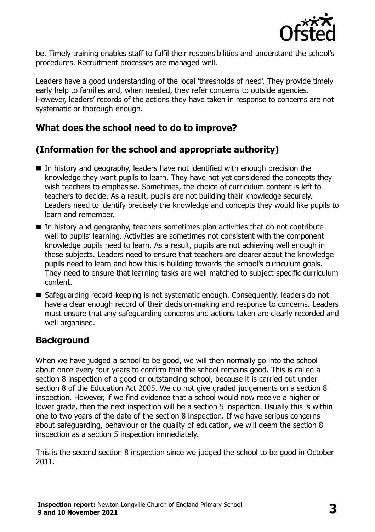

be. Timely training enables staff to fulfil their responsibilities and understand the school's procedures. Recruitment processes are managed well.

Leaders have a good understanding of the local 'thresholds of need'. They provide timely early help to families and, when needed, they refer concerns to outside agencies. However, leaders' records of the actions they have taken in response to concerns are not systematic or thorough enough.

# **What does the school need to do to improve?**

# **(Information for the school and appropriate authority)**

- In history and geography, leaders have not identified with enough precision the knowledge they want pupils to learn. They have not yet considered the concepts they wish teachers to emphasise. Sometimes, the choice of curriculum content is left to teachers to decide. As a result, pupils are not building their knowledge securely. Leaders need to identify precisely the knowledge and concepts they would like pupils to learn and remember.
- $\blacksquare$  In history and geography, teachers sometimes plan activities that do not contribute well to pupils' learning. Activities are sometimes not consistent with the component knowledge pupils need to learn. As a result, pupils are not achieving well enough in these subjects. Leaders need to ensure that teachers are clearer about the knowledge pupils need to learn and how this is building towards the school's curriculum goals. They need to ensure that learning tasks are well matched to subject-specific curriculum content.
- Safeguarding record-keeping is not systematic enough. Consequently, leaders do not have a clear enough record of their decision-making and response to concerns. Leaders must ensure that any safeguarding concerns and actions taken are clearly recorded and well organised.

# **Background**

When we have judged a school to be good, we will then normally go into the school about once every four years to confirm that the school remains good. This is called a section 8 inspection of a good or outstanding school, because it is carried out under section 8 of the Education Act 2005. We do not give graded judgements on a section 8 inspection. However, if we find evidence that a school would now receive a higher or lower grade, then the next inspection will be a section 5 inspection. Usually this is within one to two years of the date of the section 8 inspection. If we have serious concerns about safeguarding, behaviour or the quality of education, we will deem the section 8 inspection as a section 5 inspection immediately.

This is the second section 8 inspection since we judged the school to be good in October 2011.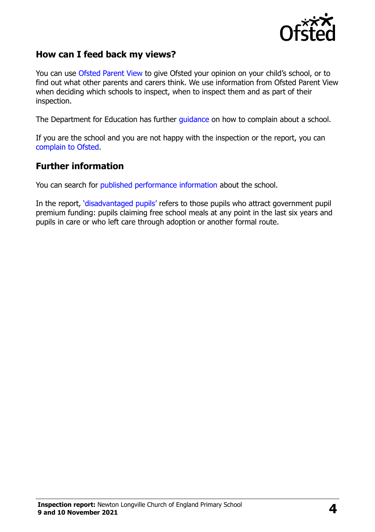

#### **How can I feed back my views?**

You can use [Ofsted Parent View](https://parentview.ofsted.gov.uk/) to give Ofsted your opinion on your child's school, or to find out what other parents and carers think. We use information from Ofsted Parent View when deciding which schools to inspect, when to inspect them and as part of their inspection.

The Department for Education has further [guidance](http://www.gov.uk/complain-about-school) on how to complain about a school.

If you are the school and you are not happy with the inspection or the report, you can [complain to Ofsted.](https://www.gov.uk/complain-ofsted-report)

#### **Further information**

You can search for [published performance information](http://www.compare-school-performance.service.gov.uk/) about the school.

In the report, '[disadvantaged pupils](http://www.gov.uk/guidance/pupil-premium-information-for-schools-and-alternative-provision-settings)' refers to those pupils who attract government pupil premium funding: pupils claiming free school meals at any point in the last six years and pupils in care or who left care through adoption or another formal route.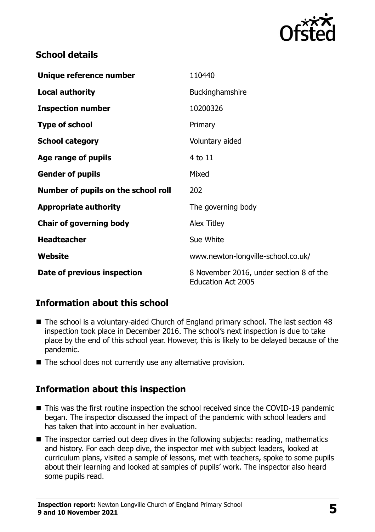

#### **School details**

| Unique reference number             | 110440                                                               |
|-------------------------------------|----------------------------------------------------------------------|
| <b>Local authority</b>              | Buckinghamshire                                                      |
| <b>Inspection number</b>            | 10200326                                                             |
| <b>Type of school</b>               | Primary                                                              |
| <b>School category</b>              | Voluntary aided                                                      |
| Age range of pupils                 | 4 to 11                                                              |
| <b>Gender of pupils</b>             | Mixed                                                                |
| Number of pupils on the school roll | 202                                                                  |
| <b>Appropriate authority</b>        | The governing body                                                   |
| <b>Chair of governing body</b>      | <b>Alex Titley</b>                                                   |
| <b>Headteacher</b>                  | Sue White                                                            |
| Website                             | www.newton-longville-school.co.uk/                                   |
| Date of previous inspection         | 8 November 2016, under section 8 of the<br><b>Education Act 2005</b> |

# **Information about this school**

- The school is a voluntary-aided Church of England primary school. The last section 48 inspection took place in December 2016. The school's next inspection is due to take place by the end of this school year. However, this is likely to be delayed because of the pandemic.
- The school does not currently use any alternative provision.

#### **Information about this inspection**

- This was the first routine inspection the school received since the COVID-19 pandemic began. The inspector discussed the impact of the pandemic with school leaders and has taken that into account in her evaluation.
- The inspector carried out deep dives in the following subjects: reading, mathematics and history. For each deep dive, the inspector met with subject leaders, looked at curriculum plans, visited a sample of lessons, met with teachers, spoke to some pupils about their learning and looked at samples of pupils' work. The inspector also heard some pupils read.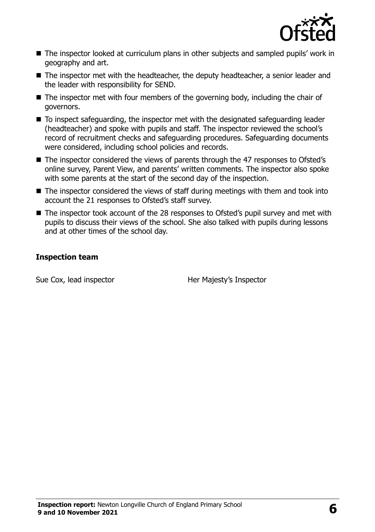

- The inspector looked at curriculum plans in other subjects and sampled pupils' work in geography and art.
- The inspector met with the headteacher, the deputy headteacher, a senior leader and the leader with responsibility for SEND.
- $\blacksquare$  The inspector met with four members of the governing body, including the chair of governors.
- To inspect safeguarding, the inspector met with the designated safeguarding leader (headteacher) and spoke with pupils and staff. The inspector reviewed the school's record of recruitment checks and safeguarding procedures. Safeguarding documents were considered, including school policies and records.
- The inspector considered the views of parents through the 47 responses to Ofsted's online survey, Parent View, and parents' written comments. The inspector also spoke with some parents at the start of the second day of the inspection.
- The inspector considered the views of staff during meetings with them and took into account the 21 responses to Ofsted's staff survey.
- The inspector took account of the 28 responses to Ofsted's pupil survey and met with pupils to discuss their views of the school. She also talked with pupils during lessons and at other times of the school day.

#### **Inspection team**

Sue Cox, lead inspector **Her Majesty's Inspector**